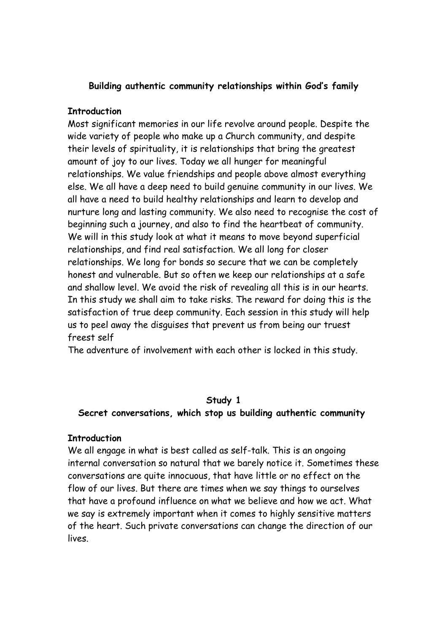## **Building authentic community relationships within God's family**

#### **Introduction**

Most significant memories in our life revolve around people. Despite the wide variety of people who make up a Church community, and despite their levels of spirituality, it is relationships that bring the greatest amount of joy to our lives. Today we all hunger for meaningful relationships. We value friendships and people above almost everything else. We all have a deep need to build genuine community in our lives. We all have a need to build healthy relationships and learn to develop and nurture long and lasting community. We also need to recognise the cost of beginning such a journey, and also to find the heartbeat of community. We will in this study look at what it means to move beyond superficial relationships, and find real satisfaction. We all long for closer relationships. We long for bonds so secure that we can be completely honest and vulnerable. But so often we keep our relationships at a safe and shallow level. We avoid the risk of revealing all this is in our hearts. In this study we shall aim to take risks. The reward for doing this is the satisfaction of true deep community. Each session in this study will help us to peel away the disguises that prevent us from being our truest freest self

The adventure of involvement with each other is locked in this study.

### **Study 1**

### **Secret conversations, which stop us building authentic community**

### **Introduction**

We all engage in what is best called as self-talk. This is an ongoing internal conversation so natural that we barely notice it. Sometimes these conversations are quite innocuous, that have little or no effect on the flow of our lives. But there are times when we say things to ourselves that have a profound influence on what we believe and how we act. What we say is extremely important when it comes to highly sensitive matters of the heart. Such private conversations can change the direction of our lives.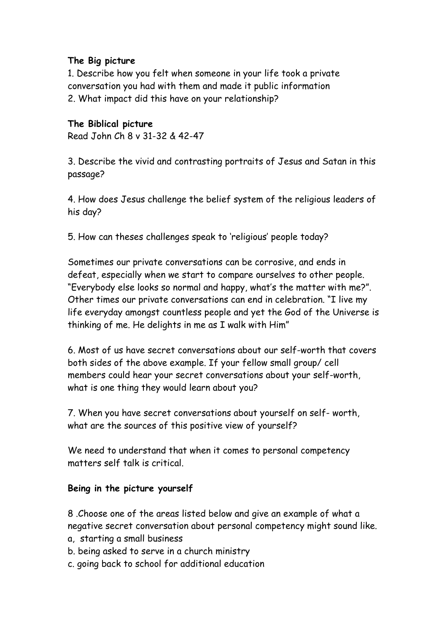# **The Big picture**

1. Describe how you felt when someone in your life took a private conversation you had with them and made it public information 2. What impact did this have on your relationship?

# **The Biblical picture**

Read John Ch 8 v 31-32 & 42-47

3. Describe the vivid and contrasting portraits of Jesus and Satan in this passage?

4. How does Jesus challenge the belief system of the religious leaders of his day?

5. How can theses challenges speak to 'religious' people today?

Sometimes our private conversations can be corrosive, and ends in defeat, especially when we start to compare ourselves to other people. "Everybody else looks so normal and happy, what's the matter with me?". Other times our private conversations can end in celebration. "I live my life everyday amongst countless people and yet the God of the Universe is thinking of me. He delights in me as I walk with Him"

6. Most of us have secret conversations about our self-worth that covers both sides of the above example. If your fellow small group/ cell members could hear your secret conversations about your self-worth, what is one thing they would learn about you?

7. When you have secret conversations about yourself on self- worth, what are the sources of this positive view of yourself?

We need to understand that when it comes to personal competency matters self talk is critical.

## **Being in the picture yourself**

8 .Choose one of the areas listed below and give an example of what a negative secret conversation about personal competency might sound like.

- a, starting a small business
- b. being asked to serve in a church ministry
- c. going back to school for additional education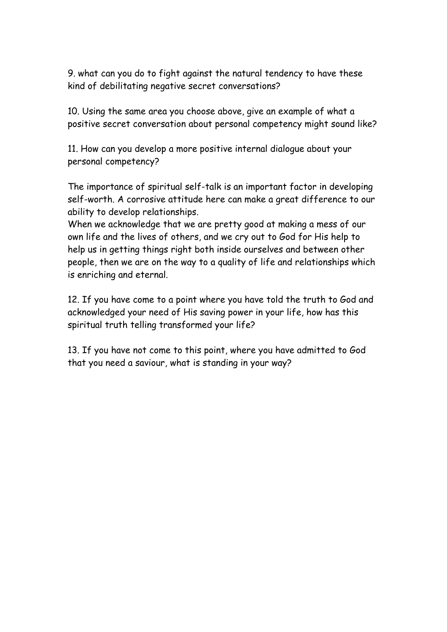9. what can you do to fight against the natural tendency to have these kind of debilitating negative secret conversations?

10. Using the same area you choose above, give an example of what a positive secret conversation about personal competency might sound like?

11. How can you develop a more positive internal dialogue about your personal competency?

The importance of spiritual self-talk is an important factor in developing self-worth. A corrosive attitude here can make a great difference to our ability to develop relationships.

When we acknowledge that we are pretty good at making a mess of our own life and the lives of others, and we cry out to God for His help to help us in getting things right both inside ourselves and between other people, then we are on the way to a quality of life and relationships which is enriching and eternal.

12. If you have come to a point where you have told the truth to God and acknowledged your need of His saving power in your life, how has this spiritual truth telling transformed your life?

13. If you have not come to this point, where you have admitted to God that you need a saviour, what is standing in your way?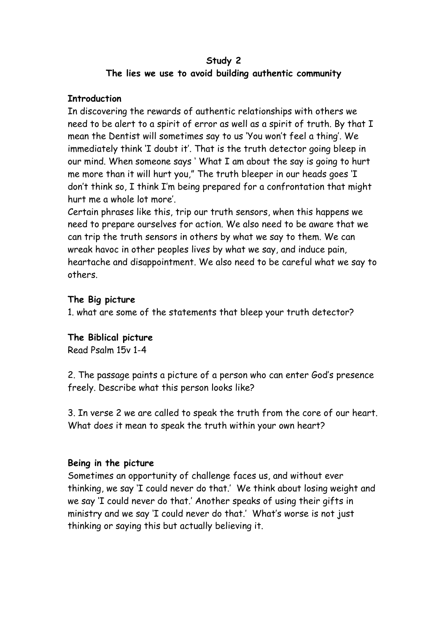## **Study 2 The lies we use to avoid building authentic community**

## **Introduction**

In discovering the rewards of authentic relationships with others we need to be alert to a spirit of error as well as a spirit of truth. By that I mean the Dentist will sometimes say to us 'You won't feel a thing'. We immediately think 'I doubt it'. That is the truth detector going bleep in our mind. When someone says ' What I am about the say is going to hurt me more than it will hurt you," The truth bleeper in our heads goes 'I don't think so, I think I'm being prepared for a confrontation that might hurt me a whole lot more'.

Certain phrases like this, trip our truth sensors, when this happens we need to prepare ourselves for action. We also need to be aware that we can trip the truth sensors in others by what we say to them. We can wreak havoc in other peoples lives by what we say, and induce pain, heartache and disappointment. We also need to be careful what we say to others.

## **The Big picture**

1. what are some of the statements that bleep your truth detector?

# **The Biblical picture**

Read Psalm 15v 1-4

2. The passage paints a picture of a person who can enter God's presence freely. Describe what this person looks like?

3. In verse 2 we are called to speak the truth from the core of our heart. What does it mean to speak the truth within your own heart?

## **Being in the picture**

Sometimes an opportunity of challenge faces us, and without ever thinking, we say 'I could never do that.' We think about losing weight and we say 'I could never do that.' Another speaks of using their gifts in ministry and we say 'I could never do that.' What's worse is not just thinking or saying this but actually believing it.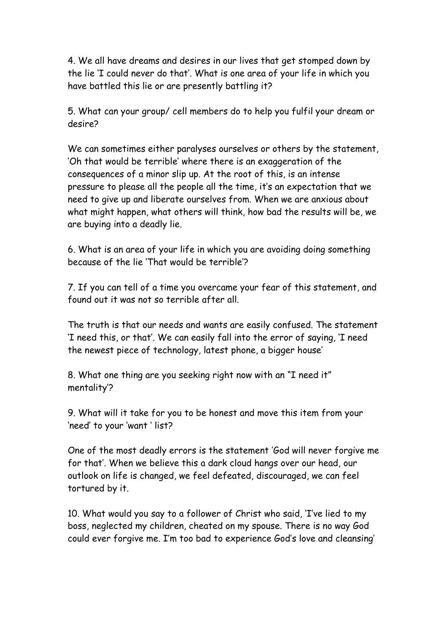4. We all have dreams and desires in our lives that get stomped down by the lie 'I could never do that'. What is one area of your life in which you have battled this lie or are presently battling it?

5. What can your group/ cell members do to help you fulfil your dream or desire?

We can sometimes either paralyses ourselves or others by the statement, 'Oh that would be terrible' where there is an exaggeration of the consequences of a minor slip up. At the root of this, is an intense pressure to please all the people all the time, it's an expectation that we need to give up and liberate ourselves from. When we are anxious about what might happen, what others will think, how bad the results will be, we are buying into a deadly lie.

6. What is an area of your life in which you are avoiding doing something because of the lie 'That would be terrible'?

7. If you can tell of a time you overcame your fear of this statement, and found out it was not so terrible after all.

The truth is that our needs and wants are easily confused. The statement 'I need this, or that'. We can easily fall into the error of saying, 'I need the newest piece of technology, latest phone, a bigger house'

8. What one thing are you seeking right now with an "I need it" mentality'?

9. What will it take for you to be honest and move this item from your 'need' to your 'want ' list?

One of the most deadly errors is the statement 'God will never forgive me for that'. When we believe this a dark cloud hangs over our head, our outlook on life is changed, we feel defeated, discouraged, we can feel tortured by it.

10. What would you say to a follower of Christ who said, 'I've lied to my boss, neglected my children, cheated on my spouse. There is no way God could ever forgive me. I'm too bad to experience God's love and cleansing'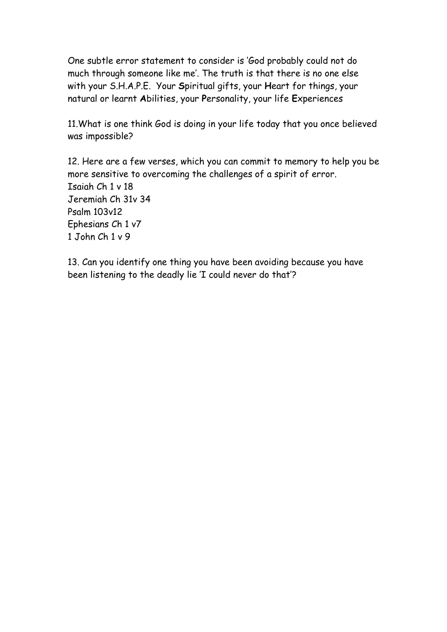One subtle error statement to consider is 'God probably could not do much through someone like me'. The truth is that there is no one else with your S.H.A.P.E. Your **S**piritual gifts, your **H**eart for things, your natural or learnt **A**bilities, your **P**ersonality, your life **E**xperiences

11.What is one think God is doing in your life today that you once believed was impossible?

12. Here are a few verses, which you can commit to memory to help you be more sensitive to overcoming the challenges of a spirit of error. Isaiah Ch 1 v 18 Jeremiah Ch 31v 34 Psalm 103v12 Ephesians Ch 1 v7 1 John Ch 1 v 9

13. Can you identify one thing you have been avoiding because you have been listening to the deadly lie 'I could never do that'?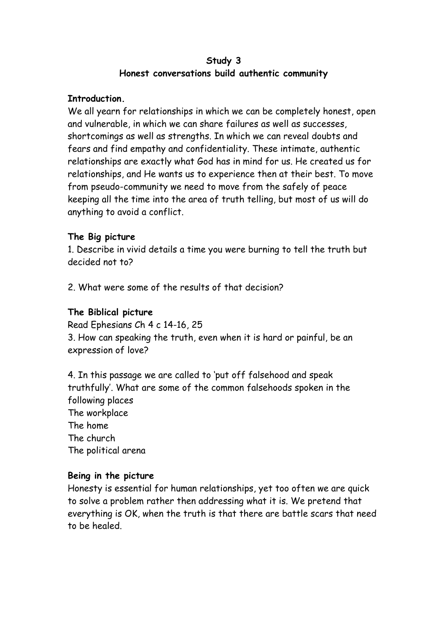## **Study 3 Honest conversations build authentic community**

## **Introduction.**

We all yearn for relationships in which we can be completely honest, open and vulnerable, in which we can share failures as well as successes, shortcomings as well as strengths. In which we can reveal doubts and fears and find empathy and confidentiality. These intimate, authentic relationships are exactly what God has in mind for us. He created us for relationships, and He wants us to experience then at their best. To move from pseudo-community we need to move from the safely of peace keeping all the time into the area of truth telling, but most of us will do anything to avoid a conflict.

## **The Big picture**

1. Describe in vivid details a time you were burning to tell the truth but decided not to?

2. What were some of the results of that decision?

# **The Biblical picture**

Read Ephesians Ch 4 c 14-16, 25 3. How can speaking the truth, even when it is hard or painful, be an expression of love?

4. In this passage we are called to 'put off falsehood and speak truthfully'. What are some of the common falsehoods spoken in the following places The workplace The home The church The political arena

## **Being in the picture**

Honesty is essential for human relationships, yet too often we are quick to solve a problem rather then addressing what it is. We pretend that everything is OK, when the truth is that there are battle scars that need to be healed.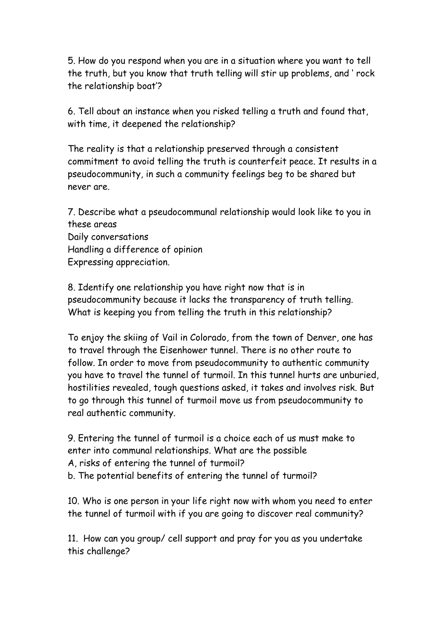5. How do you respond when you are in a situation where you want to tell the truth, but you know that truth telling will stir up problems, and ' rock the relationship boat'?

6. Tell about an instance when you risked telling a truth and found that, with time, it deepened the relationship?

The reality is that a relationship preserved through a consistent commitment to avoid telling the truth is counterfeit peace. It results in a pseudocommunity, in such a community feelings beg to be shared but never are.

7. Describe what a pseudocommunal relationship would look like to you in these areas Daily conversations Handling a difference of opinion Expressing appreciation.

8. Identify one relationship you have right now that is in pseudocommunity because it lacks the transparency of truth telling. What is keeping you from telling the truth in this relationship?

To enjoy the skiing of Vail in Colorado, from the town of Denver, one has to travel through the Eisenhower tunnel. There is no other route to follow. In order to move from pseudocommunity to authentic community you have to travel the tunnel of turmoil. In this tunnel hurts are unburied, hostilities revealed, tough questions asked, it takes and involves risk. But to go through this tunnel of turmoil move us from pseudocommunity to real authentic community.

9. Entering the tunnel of turmoil is a choice each of us must make to enter into communal relationships. What are the possible A, risks of entering the tunnel of turmoil? b. The potential benefits of entering the tunnel of turmoil?

10. Who is one person in your life right now with whom you need to enter the tunnel of turmoil with if you are going to discover real community?

11. How can you group/ cell support and pray for you as you undertake this challenge?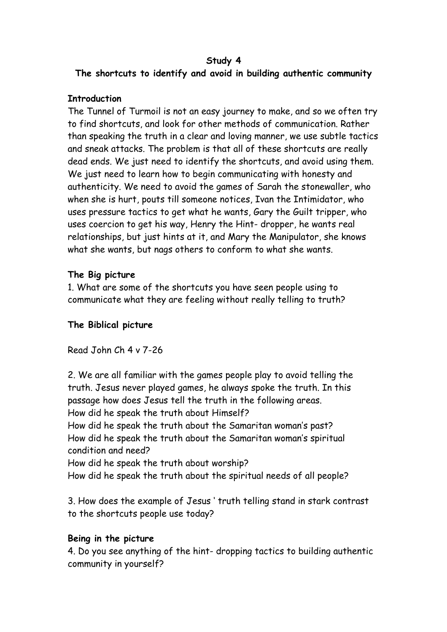#### **Study 4 The shortcuts to identify and avoid in building authentic community**

## **Introduction**

The Tunnel of Turmoil is not an easy journey to make, and so we often try to find shortcuts, and look for other methods of communication. Rather than speaking the truth in a clear and loving manner, we use subtle tactics and sneak attacks. The problem is that all of these shortcuts are really dead ends. We just need to identify the shortcuts, and avoid using them. We just need to learn how to begin communicating with honesty and authenticity. We need to avoid the games of Sarah the stonewaller, who when she is hurt, pouts till someone notices, Ivan the Intimidator, who uses pressure tactics to get what he wants, Gary the Guilt tripper, who uses coercion to get his way, Henry the Hint- dropper, he wants real relationships, but just hints at it, and Mary the Manipulator, she knows what she wants, but nags others to conform to what she wants.

# **The Big picture**

1. What are some of the shortcuts you have seen people using to communicate what they are feeling without really telling to truth?

# **The Biblical picture**

Read John Ch 4 v 7-26

2. We are all familiar with the games people play to avoid telling the truth. Jesus never played games, he always spoke the truth. In this passage how does Jesus tell the truth in the following areas. How did he speak the truth about Himself? How did he speak the truth about the Samaritan woman's past? How did he speak the truth about the Samaritan woman's spiritual condition and need? How did he speak the truth about worship? How did he speak the truth about the spiritual needs of all people?

3. How does the example of Jesus ' truth telling stand in stark contrast to the shortcuts people use today?

# **Being in the picture**

4. Do you see anything of the hint- dropping tactics to building authentic community in yourself?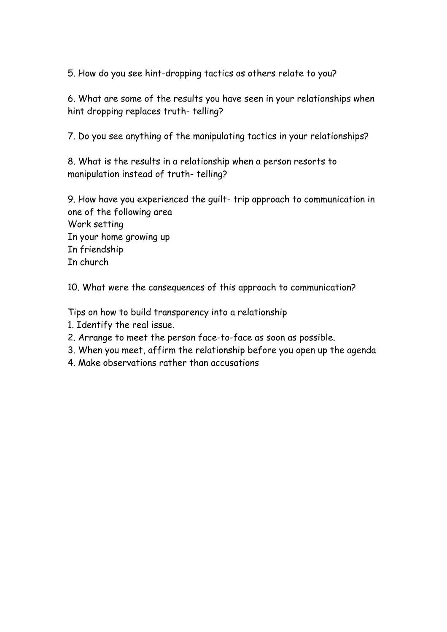5. How do you see hint-dropping tactics as others relate to you?

6. What are some of the results you have seen in your relationships when hint dropping replaces truth- telling?

7. Do you see anything of the manipulating tactics in your relationships?

8. What is the results in a relationship when a person resorts to manipulation instead of truth- telling?

9. How have you experienced the guilt- trip approach to communication in one of the following area Work setting In your home growing up In friendship In church

10. What were the consequences of this approach to communication?

Tips on how to build transparency into a relationship

- 1. Identify the real issue.
- 2. Arrange to meet the person face-to-face as soon as possible.
- 3. When you meet, affirm the relationship before you open up the agenda
- 4. Make observations rather than accusations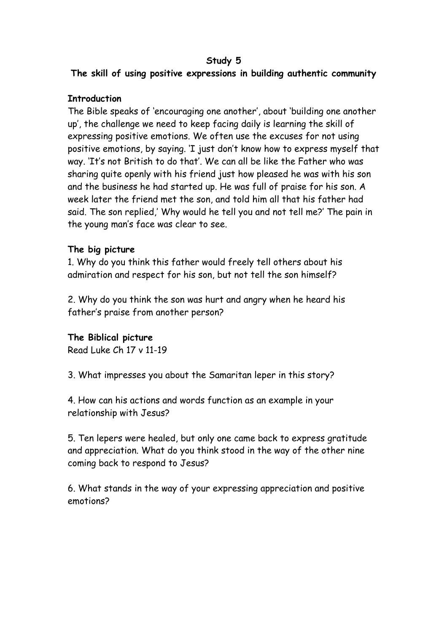## **Study 5**

**The skill of using positive expressions in building authentic community**

# **Introduction**

The Bible speaks of 'encouraging one another', about 'building one another up', the challenge we need to keep facing daily is learning the skill of expressing positive emotions. We often use the excuses for not using positive emotions, by saying. 'I just don't know how to express myself that way. 'It's not British to do that'. We can all be like the Father who was sharing quite openly with his friend just how pleased he was with his son and the business he had started up. He was full of praise for his son. A week later the friend met the son, and told him all that his father had said. The son replied,' Why would he tell you and not tell me?' The pain in the young man's face was clear to see.

## **The big picture**

1. Why do you think this father would freely tell others about his admiration and respect for his son, but not tell the son himself?

2. Why do you think the son was hurt and angry when he heard his father's praise from another person?

# **The Biblical picture**

Read Luke Ch 17 v 11-19

3. What impresses you about the Samaritan leper in this story?

4. How can his actions and words function as an example in your relationship with Jesus?

5. Ten lepers were healed, but only one came back to express gratitude and appreciation. What do you think stood in the way of the other nine coming back to respond to Jesus?

6. What stands in the way of your expressing appreciation and positive emotions?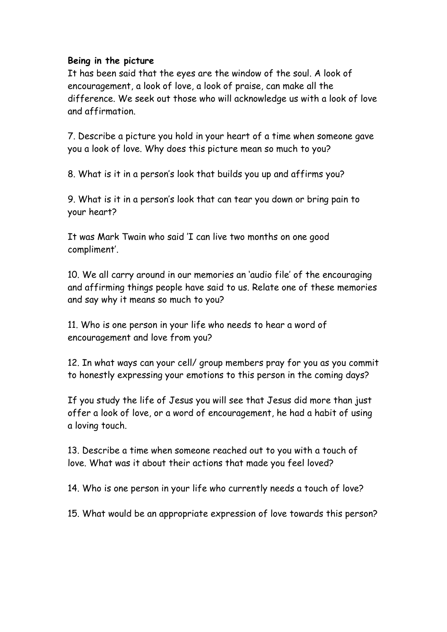### **Being in the picture**

It has been said that the eyes are the window of the soul. A look of encouragement, a look of love, a look of praise, can make all the difference. We seek out those who will acknowledge us with a look of love and affirmation.

7. Describe a picture you hold in your heart of a time when someone gave you a look of love. Why does this picture mean so much to you?

8. What is it in a person's look that builds you up and affirms you?

9. What is it in a person's look that can tear you down or bring pain to your heart?

It was Mark Twain who said 'I can live two months on one good compliment'.

10. We all carry around in our memories an 'audio file' of the encouraging and affirming things people have said to us. Relate one of these memories and say why it means so much to you?

11. Who is one person in your life who needs to hear a word of encouragement and love from you?

12. In what ways can your cell/ group members pray for you as you commit to honestly expressing your emotions to this person in the coming days?

If you study the life of Jesus you will see that Jesus did more than just offer a look of love, or a word of encouragement, he had a habit of using a loving touch.

13. Describe a time when someone reached out to you with a touch of love. What was it about their actions that made you feel loved?

14. Who is one person in your life who currently needs a touch of love?

15. What would be an appropriate expression of love towards this person?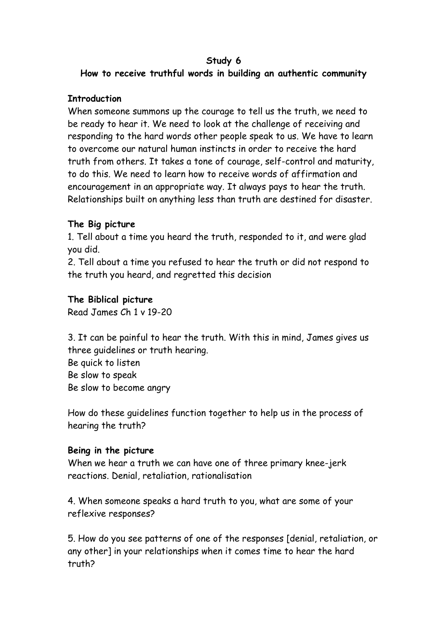## **Study 6**

# **How to receive truthful words in building an authentic community**

## **Introduction**

When someone summons up the courage to tell us the truth, we need to be ready to hear it. We need to look at the challenge of receiving and responding to the hard words other people speak to us. We have to learn to overcome our natural human instincts in order to receive the hard truth from others. It takes a tone of courage, self-control and maturity, to do this. We need to learn how to receive words of affirmation and encouragement in an appropriate way. It always pays to hear the truth. Relationships built on anything less than truth are destined for disaster.

# **The Big picture**

1. Tell about a time you heard the truth, responded to it, and were glad you did.

2. Tell about a time you refused to hear the truth or did not respond to the truth you heard, and regretted this decision

# **The Biblical picture**

Read James Ch 1 v 19-20

3. It can be painful to hear the truth. With this in mind, James gives us three guidelines or truth hearing.

Be quick to listen Be slow to speak Be slow to become angry

How do these guidelines function together to help us in the process of hearing the truth?

## **Being in the picture**

When we hear a truth we can have one of three primary knee-jerk reactions. Denial, retaliation, rationalisation

4. When someone speaks a hard truth to you, what are some of your reflexive responses?

5. How do you see patterns of one of the responses [denial, retaliation, or any other] in your relationships when it comes time to hear the hard truth?